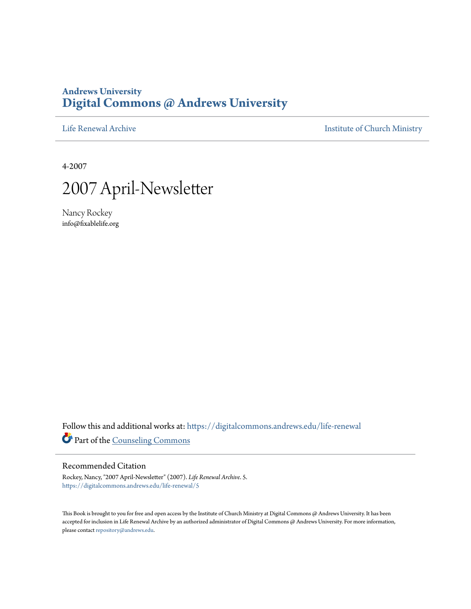### **Andrews University [Digital Commons @ Andrews University](https://digitalcommons.andrews.edu/?utm_source=digitalcommons.andrews.edu%2Flife-renewal%2F5&utm_medium=PDF&utm_campaign=PDFCoverPages)**

[Life Renewal Archive](https://digitalcommons.andrews.edu/life-renewal?utm_source=digitalcommons.andrews.edu%2Flife-renewal%2F5&utm_medium=PDF&utm_campaign=PDFCoverPages) **[Institute of Church Ministry](https://digitalcommons.andrews.edu/icm?utm_source=digitalcommons.andrews.edu%2Flife-renewal%2F5&utm_medium=PDF&utm_campaign=PDFCoverPages)** 

4-2007



Nancy Rockey info@fixablelife.org

Follow this and additional works at: [https://digitalcommons.andrews.edu/life-renewal](https://digitalcommons.andrews.edu/life-renewal?utm_source=digitalcommons.andrews.edu%2Flife-renewal%2F5&utm_medium=PDF&utm_campaign=PDFCoverPages) Part of the [Counseling Commons](http://network.bepress.com/hgg/discipline/1268?utm_source=digitalcommons.andrews.edu%2Flife-renewal%2F5&utm_medium=PDF&utm_campaign=PDFCoverPages)

#### Recommended Citation

Rockey, Nancy, "2007 April-Newsletter" (2007). *Life Renewal Archive*. 5. [https://digitalcommons.andrews.edu/life-renewal/5](https://digitalcommons.andrews.edu/life-renewal/5?utm_source=digitalcommons.andrews.edu%2Flife-renewal%2F5&utm_medium=PDF&utm_campaign=PDFCoverPages)

This Book is brought to you for free and open access by the Institute of Church Ministry at Digital Commons @ Andrews University. It has been accepted for inclusion in Life Renewal Archive by an authorized administrator of Digital Commons @ Andrews University. For more information, please contact [repository@andrews.edu.](mailto:repository@andrews.edu)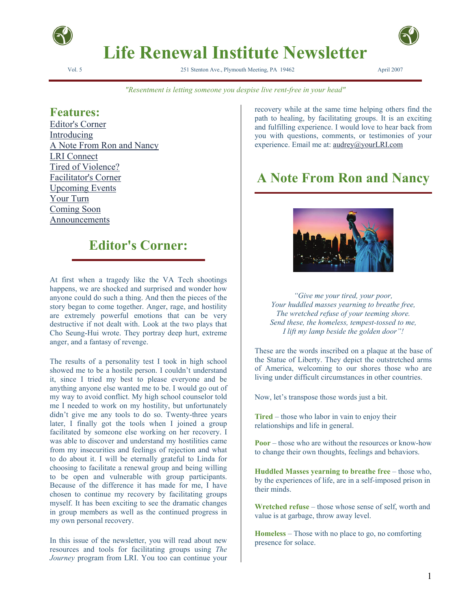

# **Life Renewal Institute Newsletter**

Vol. 5 251 Stenton Ave., Plymouth Meeting, PA 19462 April 2007

*"Resentment is letting someone you despise live rent-free in your head"*

### **Features:**

Editor's Corner Introducing A Note From Ron and Nancy LRI Connect Tired of Violence? Facilitator's Corner Upcoming Events Your Turn Coming Soon Announcements

## **Editor's Corner:**

At first when a tragedy like the VA Tech shootings happens, we are shocked and surprised and wonder how anyone could do such a thing. And then the pieces of the story began to come together. Anger, rage, and hostility are extremely powerful emotions that can be very destructive if not dealt with. Look at the two plays that Cho Seung-Hui wrote. They portray deep hurt, extreme anger, and a fantasy of revenge.

The results of a personality test I took in high school showed me to be a hostile person. I couldn't understand it, since I tried my best to please everyone and be anything anyone else wanted me to be. I would go out of my way to avoid conflict. My high school counselor told me I needed to work on my hostility, but unfortunately didn't give me any tools to do so. Twenty-three years later, I finally got the tools when I joined a group facilitated by someone else working on her recovery. I was able to discover and understand my hostilities came from my insecurities and feelings of rejection and what to do about it. I will be eternally grateful to Linda for choosing to facilitate a renewal group and being willing to be open and vulnerable with group participants. Because of the difference it has made for me, I have chosen to continue my recovery by facilitating groups myself. It has been exciting to see the dramatic changes in group members as well as the continued progress in my own personal recovery.

In this issue of the newsletter, you will read about new resources and tools for facilitating groups using *The Journey* program from LRI. You too can continue your recovery while at the same time helping others find the path to healing, by facilitating groups. It is an exciting and fulfilling experience. I would love to hear back from you with questions, comments, or testimonies of your experience. Email me at: audrey@yourLRI.com

# **A Note From Ron and Nancy**



*"Give me your tired, your poor, Your huddled masses yearning to breathe free, The wretched refuse of your teeming shore. Send these, the homeless, tempest-tossed to me, I lift my lamp beside the golden door"!*

These are the words inscribed on a plaque at the base of the Statue of Liberty. They depict the outstretched arms of America, welcoming to our shores those who are living under difficult circumstances in other countries.

Now, let's transpose those words just a bit.

**Tired** – those who labor in vain to enjoy their relationships and life in general.

**Poor** – those who are without the resources or know-how to change their own thoughts, feelings and behaviors.

**Huddled Masses yearning to breathe free** – those who, by the experiences of life, are in a self-imposed prison in their minds.

**Wretched refuse** – those whose sense of self, worth and value is at garbage, throw away level.

**Homeless** – Those with no place to go, no comforting presence for solace.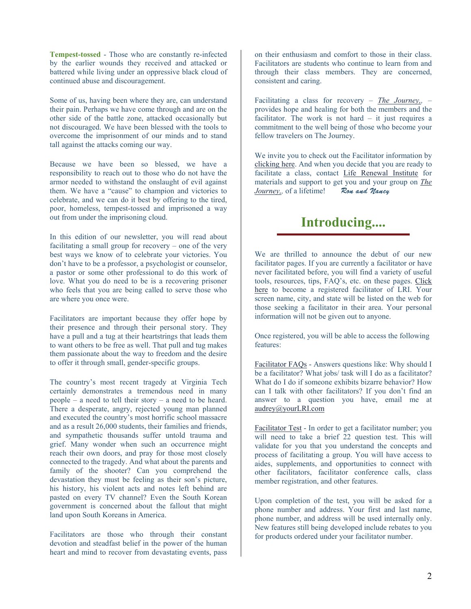**Tempest-tossed** - Those who are constantly re-infected by the earlier wounds they received and attacked or battered while living under an oppressive black cloud of continued abuse and discouragement.

Some of us, having been where they are, can understand their pain. Perhaps we have come through and are on the other side of the battle zone, attacked occasionally but not discouraged. We have been blessed with the tools to overcome the imprisonment of our minds and to stand tall against the attacks coming our way.

Because we have been so blessed, we have a responsibility to reach out to those who do not have the armor needed to withstand the onslaught of evil against them. We have a "cause" to champion and victories to celebrate, and we can do it best by offering to the tired, poor, homeless, tempest-tossed and imprisoned a way out from under the imprisoning cloud.

In this edition of our newsletter, you will read about facilitating a small group for recovery – one of the very best ways we know of to celebrate your victories. You don't have to be a professor, a psychologist or counselor, a pastor or some other professional to do this work of love. What you do need to be is a recovering prisoner who feels that you are being called to serve those who are where you once were.

Facilitators are important because they offer hope by their presence and through their personal story. They have a pull and a tug at their heartstrings that leads them to want others to be free as well. That pull and tug makes them passionate about the way to freedom and the desire to offer it through small, gender-specific groups.

The country's most recent tragedy at Virginia Tech certainly demonstrates a tremendous need in many people – a need to tell their story – a need to be heard. There a desperate, angry, rejected young man planned and executed the country's most horrific school massacre and as a result 26,000 students, their families and friends, and sympathetic thousands suffer untold trauma and grief. Many wonder when such an occurrence might reach their own doors, and pray for those most closely connected to the tragedy. And what about the parents and family of the shooter? Can you comprehend the devastation they must be feeling as their son's picture, his history, his violent acts and notes left behind are pasted on every TV channel? Even the South Korean government is concerned about the fallout that might land upon South Koreans in America.

Facilitators are those who through their constant devotion and steadfast belief in the power of the human heart and mind to recover from devastating events, pass on their enthusiasm and comfort to those in their class. Facilitators are students who continue to learn from and through their class members. They are concerned, consistent and caring.

Facilitating a class for recovery – *The Journey,,* – provides hope and healing for both the members and the facilitator. The work is not hard  $-$  it just requires a commitment to the well being of those who become your fellow travelers on The Journey.

We invite you to check out the Facilitator information by clicking here. And when you decide that you are ready to facilitate a class, contact Life Renewal Institute for materials and support to get you and your group on *The Journey*, of a lifetime! Rou and Nancy

# **Introducing....**

We are thrilled to announce the debut of our new facilitator pages. If you are currently a facilitator or have never facilitated before, you will find a variety of useful tools, resources, tips, FAQ's, etc. on these pages. Click here to become a registered facilitator of LRI. Your screen name, city, and state will be listed on the web for those seeking a facilitator in their area. Your personal information will not be given out to anyone.

Once registered, you will be able to access the following features:

Facilitator FAQs - Answers questions like: Why should I be a facilitator? What jobs/ task will I do as a facilitator? What do I do if someone exhibits bizarre behavior? How can I talk with other facilitators? If you don't find an answer to a question you have, email me at audrey@yourLRI.com

Facilitator Test - In order to get a facilitator number; you will need to take a brief 22 question test. This will validate for you that you understand the concepts and process of facilitating a group. You will have access to aides, supplements, and opportunities to connect with other facilitators, facilitator conference calls, class member registration, and other features.

Upon completion of the test, you will be asked for a phone number and address. Your first and last name, phone number, and address will be used internally only. New features still being developed include rebates to you for products ordered under your facilitator number.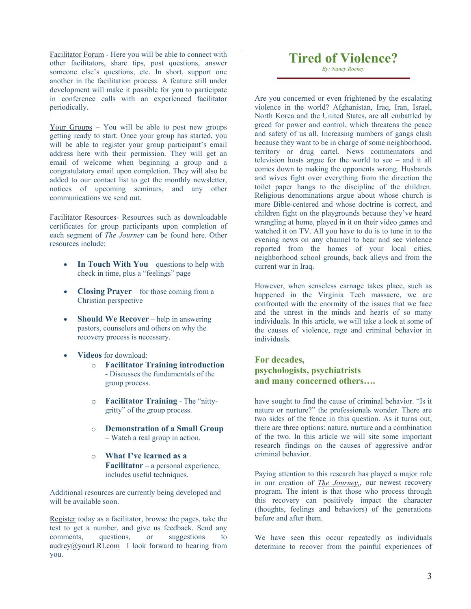Facilitator Forum - Here you will be able to connect with other facilitators, share tips, post questions, answer someone else's questions, etc. In short, support one another in the facilitation process. A feature still under development will make it possible for you to participate in conference calls with an experienced facilitator periodically.

Your Groups – You will be able to post new groups getting ready to start. Once your group has started, you will be able to register your group participant's email address here with their permission. They will get an email of welcome when beginning a group and a congratulatory email upon completion. They will also be added to our contact list to get the monthly newsletter, notices of upcoming seminars, and any other communications we send out.

Facilitator Resources- Resources such as downloadable certificates for group participants upon completion of each segment of *The Journey* can be found here. Other resources include:

- **In Touch With You** questions to help with check in time, plus a "feelings" page
- **Closing Prayer** for those coming from a Christian perspective
- **Should We Recover** help in answering pastors, counselors and others on why the recovery process is necessary.
- **Videos** for download:
	- o **Facilitator Training introduction** - Discusses the fundamentals of the group process.
	- o **Facilitator Training** The "nittygritty" of the group process.
	- o **Demonstration of a Small Group** – Watch a real group in action.
	- o **What I've learned as a Facilitator** – a personal experience, includes useful techniques.

Additional resources are currently being developed and will be available soon.

Register today as a facilitator, browse the pages, take the test to get a number, and give us feedback. Send any comments, questions, or suggestions to  $audrey@yourLRI.com$  I look forward to hearing from you.

### **Tired of Violence?**

*By: Nancy Rockey*

Are you concerned or even frightened by the escalating violence in the world? Afghanistan, Iraq, Iran, Israel, North Korea and the United States, are all embattled by greed for power and control, which threatens the peace and safety of us all. Increasing numbers of gangs clash because they want to be in charge of some neighborhood, territory or drug cartel. News commentators and television hosts argue for the world to see – and it all comes down to making the opponents wrong. Husbands and wives fight over everything from the direction the toilet paper hangs to the discipline of the children. Religious denominations argue about whose church is more Bible-centered and whose doctrine is correct, and children fight on the playgrounds because they've heard wrangling at home, played in it on their video games and watched it on TV. All you have to do is to tune in to the evening news on any channel to hear and see violence reported from the homes of your local cities, neighborhood school grounds, back alleys and from the current war in Iraq.

However, when senseless carnage takes place, such as happened in the Virginia Tech massacre, we are confronted with the enormity of the issues that we face and the unrest in the minds and hearts of so many individuals. In this article, we will take a look at some of the causes of violence, rage and criminal behavior in individuals.

#### **For decades, psychologists, psychiatrists and many concerned others….**

have sought to find the cause of criminal behavior. "Is it nature or nurture?" the professionals wonder. There are two sides of the fence in this question. As it turns out, there are three options: nature, nurture and a combination of the two. In this article we will site some important research findings on the causes of aggressive and/or criminal behavior.

Paying attention to this research has played a major role in our creation of *The Journey,,* our newest recovery program. The intent is that those who process through this recovery can positively impact the character (thoughts, feelings and behaviors) of the generations before and after them.

We have seen this occur repeatedly as individuals determine to recover from the painful experiences of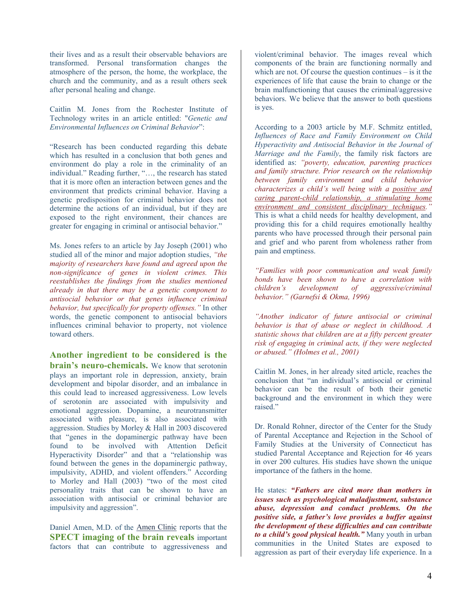their lives and as a result their observable behaviors are transformed. Personal transformation changes the atmosphere of the person, the home, the workplace, the church and the community, and as a result others seek after personal healing and change.

Caitlin M. Jones from the Rochester Institute of Technology writes in an article entitled: "*Genetic and Environmental Influences on Criminal Behavior*":

"Research has been conducted regarding this debate which has resulted in a conclusion that both genes and environment do play a role in the criminality of an individual." Reading further, "…, the research has stated that it is more often an interaction between genes and the environment that predicts criminal behavior. Having a genetic predisposition for criminal behavior does not determine the actions of an individual, but if they are exposed to the right environment, their chances are greater for engaging in criminal or antisocial behavior."

Ms. Jones refers to an article by Jay Joseph (2001) who studied all of the minor and major adoption studies, *"the majority of researchers have found and agreed upon the non-significance of genes in violent crimes. This reestablishes the findings from the studies mentioned already in that there may be a genetic component to antisocial behavior or that genes influence criminal behavior, but specifically for property offenses."* In other words, the genetic component to antisocial behaviors influences criminal behavior to property, not violence toward others.

**Another ingredient to be considered is the brain's neuro-chemicals.** We know that serotonin plays an important role in depression, anxiety, brain development and bipolar disorder, and an imbalance in this could lead to increased aggressiveness. Low levels of serotonin are associated with impulsivity and emotional aggression. Dopamine, a neurotransmitter associated with pleasure, is also associated with aggression. Studies by Morley & Hall in 2003 discovered that "genes in the dopaminergic pathway have been found to be involved with Attention Deficit Hyperactivity Disorder" and that a "relationship was found between the genes in the dopaminergic pathway, impulsivity, ADHD, and violent offenders." According to Morley and Hall (2003) "two of the most cited personality traits that can be shown to have an association with antisocial or criminal behavior are impulsivity and aggression".

Daniel Amen, M.D. of the Amen Clinic reports that the **SPECT imaging of the brain reveals** important factors that can contribute to aggressiveness and violent/criminal behavior. The images reveal which components of the brain are functioning normally and which are not. Of course the question continues – is it the experiences of life that cause the brain to change or the brain malfunctioning that causes the criminal/aggressive behaviors. We believe that the answer to both questions is yes.

According to a 2003 article by M.F. Schmitz entitled, *Influences of Race and Family Environment on Child Hyperactivity and Antisocial Behavior in the Journal of Marriage and the Family*, the family risk factors are identified as: *"poverty, education, parenting practices and family structure. Prior research on the relationship between family environment and child behavior characterizes a child's well being with a positive and caring parent-child relationship, a stimulating home environment and consistent disciplinary techniques."* This is what a child needs for healthy development, and providing this for a child requires emotionally healthy parents who have processed through their personal pain and grief and who parent from wholeness rather from pain and emptiness.

*"Families with poor communication and weak family bonds have been shown to have a correlation with children's development of aggressive/criminal behavior." (Garnefsi & Okma, 1996)* 

*"Another indicator of future antisocial or criminal behavior is that of abuse or neglect in childhood. A statistic shows that children are at a fifty percent greater risk of engaging in criminal acts, if they were neglected or abused." (Holmes et al., 2001)* 

Caitlin M. Jones, in her already sited article, reaches the conclusion that "an individual's antisocial or criminal behavior can be the result of both their genetic background and the environment in which they were raised."

Dr. Ronald Rohner, director of the Center for the Study of Parental Acceptance and Rejection in the School of Family Studies at the University of Connecticut has studied Parental Acceptance and Rejection for 46 years in over 200 cultures. His studies have shown the unique importance of the fathers in the home.

He states: *"Fathers are cited more than mothers in issues such as psychological maladjustment, substance abuse, depression and conduct problems. On the positive side, a father's love provides a buffer against the development of these difficulties and can contribute to a child's good physical health."* Many youth in urban communities in the United States are exposed to aggression as part of their everyday life experience. In a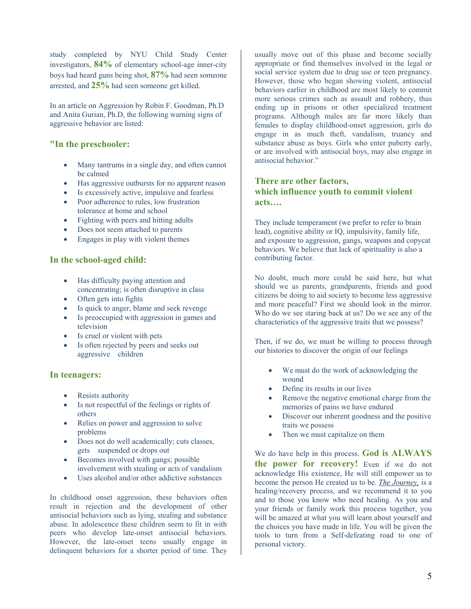study completed by NYU Child Study Center investigators, **84%** of elementary school-age inner-city boys had heard guns being shot, **87%** had seen someone arrested, and **25%** had seen someone get killed.

In an article on Aggression by Robin F. Goodman, Ph.D and Anita Gurian, Ph.D, the following warning signs of aggressive behavior are listed:

#### **"In the preschooler:**

- Many tantrums in a single day, and often cannot be calmed
- Has aggressive outbursts for no apparent reason
- Is excessively active, impulsive and fearless
- Poor adherence to rules, low frustration tolerance at home and school
- Fighting with peers and hitting adults
- Does not seem attached to parents
- Engages in play with violent themes

#### **In the school-aged child:**

- Has difficulty paying attention and concentrating; is often disruptive in class
- Often gets into fights
- Is quick to anger, blame and seek revenge
- Is preoccupied with aggression in games and television
- Is cruel or violent with pets
- Is often rejected by peers and seeks out aggressive children

#### **In teenagers:**

- Resists authority
- Is not respectful of the feelings or rights of others
- Relies on power and aggression to solve problems
- Does not do well academically; cuts classes, gets suspended or drops out
- Becomes involved with gangs; possible involvement with stealing or acts of vandalism
- Uses alcohol and/or other addictive substances

In childhood onset aggression, these behaviors often result in rejection and the development of other antisocial behaviors such as lying, stealing and substance abuse. In adolescence these children seem to fit in with peers who develop late-onset antisocial behaviors. However, the late-onset teens usually engage in delinquent behaviors for a shorter period of time. They usually move out of this phase and become socially appropriate or find themselves involved in the legal or social service system due to drug use or teen pregnancy. However, those who began showing violent, antisocial behaviors earlier in childhood are most likely to commit more serious crimes such as assault and robbery, thus ending up in prisons or other specialized treatment programs. Although males are far more likely than females to display childhood-onset aggression, girls do engage in as much theft, vandalism, truancy and substance abuse as boys. Girls who enter puberty early, or are involved with antisocial boys, may also engage in antisocial behavior."

#### **There are other factors, which influence youth to commit violent acts….**

They include temperament (we prefer to refer to brain lead), cognitive ability or IQ, impulsivity, family life, and exposure to aggression, gangs, weapons and copycat behaviors. We believe that lack of spirituality is also a contributing factor.

No doubt, much more could be said here, but what should we as parents, grandparents, friends and good citizens be doing to aid society to become less aggressive and more peaceful? First we should look in the mirror. Who do we see staring back at us? Do we see any of the characteristics of the aggressive traits that we possess?

Then, if we do, we must be willing to process through our histories to discover the origin of our feelings

- We must do the work of acknowledging the wound
- Define its results in our lives
- Remove the negative emotional charge from the memories of pains we have endured
- Discover our inherent goodness and the positive traits we possess
- Then we must capitalize on them

We do have help in this process. **God is ALWAYS the power for recovery!** Even if we do not acknowledge His existence, He will still empower us to become the person He created us to be. *The Journey,* is a healing/recovery process, and we recommend it to you and to those you know who need healing. As you and your friends or family work this process together, you will be amazed at what you will learn about yourself and the choices you have made in life. You will be given the tools to turn from a Self-defeating road to one of personal victory.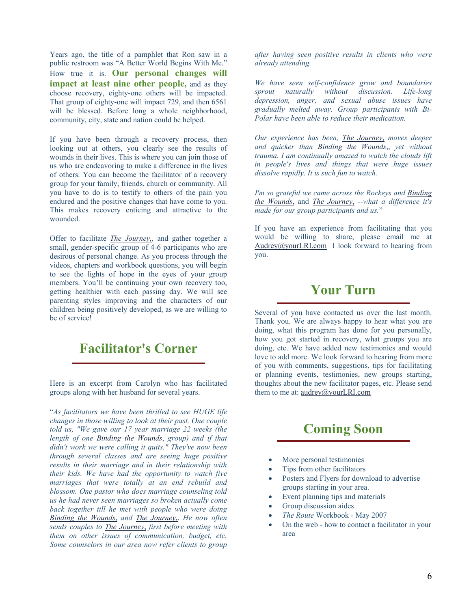Years ago, the title of a pamphlet that Ron saw in a public restroom was "A Better World Begins With Me." How true it is. **Our personal changes will impact at least nine other people,** and as they choose recovery, eighty-one others will be impacted. That group of eighty-one will impact 729, and then 6561 will be blessed. Before long a whole neighborhood, community, city, state and nation could be helped.

If you have been through a recovery process, then looking out at others, you clearly see the results of wounds in their lives. This is where you can join those of us who are endeavoring to make a difference in the lives of others. You can become the facilitator of a recovery group for your family, friends, church or community. All you have to do is to testify to others of the pain you endured and the positive changes that have come to you. This makes recovery enticing and attractive to the wounded.

Offer to facilitate *The Journey,,* and gather together a small, gender-specific group of 4-6 participants who are desirous of personal change. As you process through the videos, chapters and workbook questions, you will begin to see the lights of hope in the eyes of your group members. You'll be continuing your own recovery too, getting healthier with each passing day. We will see parenting styles improving and the characters of our children being positively developed, as we are willing to be of service!

# **Facilitator's Corner**

Here is an excerpt from Carolyn who has facilitated groups along with her husband for several years.

"*As facilitators we have been thrilled to see HUGE life changes in those willing to look at their past. One couple told us, "We gave our 17 year marriage 22 weeks (the length of one Binding the Wounds*, *group) and if that didn't work we were calling it quits." They've now been through several classes and are seeing huge positive results in their marriage and in their relationship with their kids. We have had the opportunity to watch five marriages that were totally at an end rebuild and blossom. One pastor who does marriage counseling told us he had never seen marriages so broken actually come back together till he met with people who were doing Binding the Wounds*, *and The Journey*,. *He now often sends couples to The Journey*, *first before meeting with them on other issues of communication, budget, etc. Some counselors in our area now refer clients to group* 

*after having seen positive results in clients who were already attending.* 

*We have seen self-confidence grow and boundaries sprout naturally without discussion. Life-long depression, anger, and sexual abuse issues have gradually melted away. Group participants with Bi-Polar have been able to reduce their medication.* 

*Our experience has been, The Journey*, *moves deeper and quicker than Binding the Wounds*,, *yet without trauma. I am continually amazed to watch the clouds lift in people's lives and things that were huge issues dissolve rapidly. It is such fun to watch.*

*I'm so grateful we came across the Rockeys and Binding the Wounds*, and *The Journey*, --*what a difference it's made for our group participants and us.*"

If you have an experience from facilitating that you would be willing to share, please email me at Audrey@yourLRI.com I look forward to hearing from you.

# **Your Turn**

Several of you have contacted us over the last month. Thank you. We are always happy to hear what you are doing, what this program has done for you personally, how you got started in recovery, what groups you are doing, etc. We have added new testimonies and would love to add more. We look forward to hearing from more of you with comments, suggestions, tips for facilitating or planning events, testimonies, new groups starting, thoughts about the new facilitator pages, etc. Please send them to me at: audrey@yourLRI.com

# **Coming Soon**

- More personal testimonies
- Tips from other facilitators
- Posters and Flyers for download to advertise groups starting in your area.
- Event planning tips and materials
- Group discussion aides
- *The Route* Workbook May 2007
- On the web how to contact a facilitator in your area